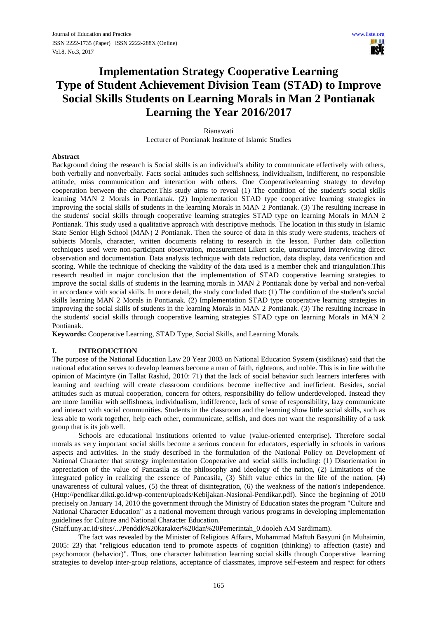# **Implementation Strategy Cooperative Learning Type of Student Achievement Division Team (STAD) to Improve Social Skills Students on Learning Morals in Man 2 Pontianak Learning the Year 2016/2017**

Rianawati Lecturer of Pontianak Institute of Islamic Studies

# **Abstract**

Background doing the research is Social skills is an individual's ability to communicate effectively with others, both verbally and nonverbally. Facts social attitudes such selfishness, individualism, indifferent, no responsible attitude, miss communication and interaction with others. One Cooperativelearning strategy to develop cooperation between the character.This study aims to reveal (1) The condition of the student's social skills learning MAN 2 Morals in Pontianak. (2) Implementation STAD type cooperative learning strategies in improving the social skills of students in the learning Morals in MAN 2 Pontianak. (3) The resulting increase in the students' social skills through cooperative learning strategies STAD type on learning Morals in MAN 2 Pontianak. This study used a qualitative approach with descriptive methods. The location in this study in Islamic State Senior High School (MAN) 2 Pontianak. Then the source of data in this study were students, teachers of subjects Morals, character, written documents relating to research in the lesson. Further data collection techniques used were non-participant observation, measurement Likert scale, unstructured interviewing direct observation and documentation. Data analysis technique with data reduction, data display, data verification and scoring. While the technique of checking the validity of the data used is a member chek and triangulation.This research resulted in major conclusion that the implementation of STAD cooperative learning strategies to improve the social skills of students in the learning morals in MAN 2 Pontianak done by verbal and non-verbal in accordance with social skills. In more detail, the study concluded that: (1) The condition of the student's social skills learning MAN 2 Morals in Pontianak. (2) Implementation STAD type cooperative learning strategies in improving the social skills of students in the learning Morals in MAN 2 Pontianak. (3) The resulting increase in the students' social skills through cooperative learning strategies STAD type on learning Morals in MAN 2 Pontianak.

**Keywords:** Cooperative Learning, STAD Type, Social Skills, and Learning Morals.

# **I. INTRODUCTION**

The purpose of the National Education Law 20 Year 2003 on National Education System (sisdiknas) said that the national education serves to develop learners become a man of faith, righteous, and noble. This is in line with the opinion of Macintyre (in Tallat Rashid, 2010: 71) that the lack of social behavior such learners interferes with learning and teaching will create classroom conditions become ineffective and inefficient. Besides, social attitudes such as mutual cooperation, concern for others, responsibility do fellow underdeveloped. Instead they are more familiar with selfishness, individualism, indifference, lack of sense of responsibility, lazy communicate and interact with social communities. Students in the classroom and the learning show little social skills, such as less able to work together, help each other, communicate, selfish, and does not want the responsibility of a task group that is its job well.

Schools are educational institutions oriented to value (value-oriented enterprise). Therefore social morals as very important social skills become a serious concern for educators, especially in schools in various aspects and activities. In the study described in the formulation of the National Policy on Development of National Character that strategy implementation Cooperative and social skills including: (1) Disorientation in appreciation of the value of Pancasila as the philosophy and ideology of the nation, (2) Limitations of the integrated policy in realizing the essence of Pancasila, (3) Shift value ethics in the life of the nation, (4) unawareness of cultural values, (5) the threat of disintegration, (6) the weakness of the nation's independence. (Http://pendikar.dikti.go.id/wp-content/uploads/Kebijakan-Nasional-Pendikar.pdf). Since the beginning of 2010 precisely on January 14, 2010 the government through the Ministry of Education states the program "Culture and National Character Education" as a national movement through various programs in developing implementation guidelines for Culture and National Character Education.

(Staff.uny.ac.id/sites/.../Penddk%20karakter%20dan%20Pemerintah\_0.dooleh AM Sardimam).

The fact was revealed by the Minister of Religious Affairs, Muhammad Maftuh Basyuni (in Muhaimin, 2005: 23) that "religious education tend to promote aspects of cognition (thinking) to affection (taste) and psychomotor (behavior)". Thus, one character habituation learning social skills through Cooperative learning strategies to develop inter-group relations, acceptance of classmates, improve self-esteem and respect for others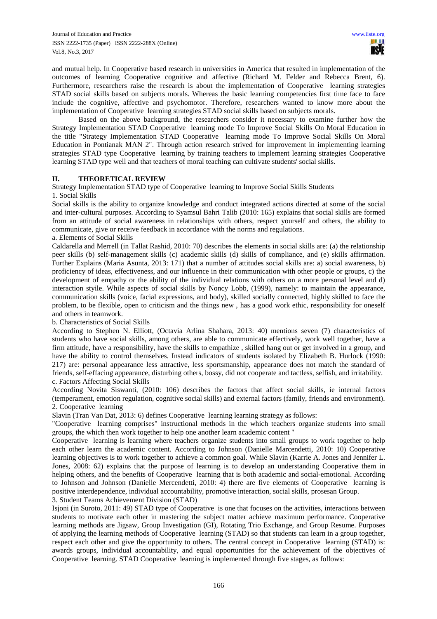and mutual help. In Cooperative based research in universities in America that resulted in implementation of the outcomes of learning Cooperative cognitive and affective (Richard M. Felder and Rebecca Brent, 6). Furthermore, researchers raise the research is about the implementation of Cooperative learning strategies STAD social skills based on subjects morals. Whereas the basic learning competencies first time face to face include the cognitive, affective and psychomotor. Therefore, researchers wanted to know more about the implementation of Cooperative learning strategies STAD social skills based on subjects morals.

Based on the above background, the researchers consider it necessary to examine further how the Strategy Implementation STAD Cooperative learning mode To Improve Social Skills On Moral Education in the title "Strategy Implementation STAD Cooperative learning mode To Improve Social Skills On Moral Education in Pontianak MAN 2". Through action research strived for improvement in implementing learning strategies STAD type Cooperative learning by training teachers to implement learning strategies Cooperative learning STAD type well and that teachers of moral teaching can cultivate students' social skills.

# **II. THEORETICAL REVIEW**

Strategy Implementation STAD type of Cooperative learning to Improve Social Skills Students

#### 1. Social Skills

Social skills is the ability to organize knowledge and conduct integrated actions directed at some of the social and inter-cultural purposes. According to Syamsul Bahri Talib (2010: 165) explains that social skills are formed from an attitude of social awareness in relationships with others, respect yourself and others, the ability to communicate, give or receive feedback in accordance with the norms and regulations.

#### a. Elements of Social Skills

Caldarella and Merrell (in Tallat Rashid, 2010: 70) describes the elements in social skills are: (a) the relationship peer skills (b) self-management skills (c) academic skills (d) skills of compliance, and (e) skills affirmation. Further Explains (Maria Asunta, 2013: 171) that a number of attitudes social skills are: a) social awareness, b) proficiency of ideas, effectiveness, and our influence in their communication with other people or groups, c) the development of empathy or the ability of the individual relations with others on a more personal level and d) interaction styile. While aspects of social skills by Noncy Lobb, (1999), namely: to maintain the appearance, communication skills (voice, facial expressions, and body), skilled socially connected, highly skilled to face the problem, to be flexible, open to criticism and the things new , has a good work ethic, responsibility for oneself and others in teamwork.

b. Characteristics of Social Skills

According to Stephen N. Elliott, (Octavia Arlina Shahara, 2013: 40) mentions seven (7) characteristics of students who have social skills, among others, are able to communicate effectively, work well together, have a firm attitude, have a responsibility, have the skills to empathize , skilled hang out or get involved in a group, and have the ability to control themselves. Instead indicators of students isolated by Elizabeth B. Hurlock (1990: 217) are: personal appearance less attractive, less sportsmanship, appearance does not match the standard of friends, self-effacing appearance, disturbing others, bossy, did not cooperate and tactless, selfish, and irritability. c. Factors Affecting Social Skills

According Novita Siswanti, (2010: 106) describes the factors that affect social skills, ie internal factors (temperament, emotion regulation, cognitive social skills) and external factors (family, friends and environment). 2. Cooperative learning

Slavin (Tran Van Dat, 2013: 6) defines Cooperative learning learning strategy as follows:

"Cooperative learning comprises" instructional methods in the which teachers organize students into small groups, the which then work together to help one another learn academic content "

Cooperative learning is learning where teachers organize students into small groups to work together to help each other learn the academic content. According to Johnson (Danielle Marcendetti, 2010: 10) Cooperative learning objectives is to work together to achieve a common goal. While Slavin (Karrie A. Jones and Jennifer L. Jones, 2008: 62) explains that the purpose of learning is to develop an understanding Cooperative them in helping others, and the benefits of Cooperative learning that is both academic and social-emotional. According to Johnson and Johnson (Danielle Mercendetti, 2010: 4) there are five elements of Cooperative learning is positive interdependence, individual accountability, promotive interaction, social skills, prosesan Group. 3. Student Teams Achievement Division (STAD)

Isjoni (in Suroto, 2011: 49) STAD type of Cooperative is one that focuses on the activities, interactions between students to motivate each other in mastering the subject matter achieve maximum performance. Cooperative learning methods are Jigsaw, Group Investigation (GI), Rotating Trio Exchange, and Group Resume. Purposes of applying the learning methods of Cooperative learning (STAD) so that students can learn in a group together, respect each other and give the opportunity to others. The central concept in Cooperative learning (STAD) is: awards groups, individual accountability, and equal opportunities for the achievement of the objectives of Cooperative learning. STAD Cooperative learning is implemented through five stages, as follows: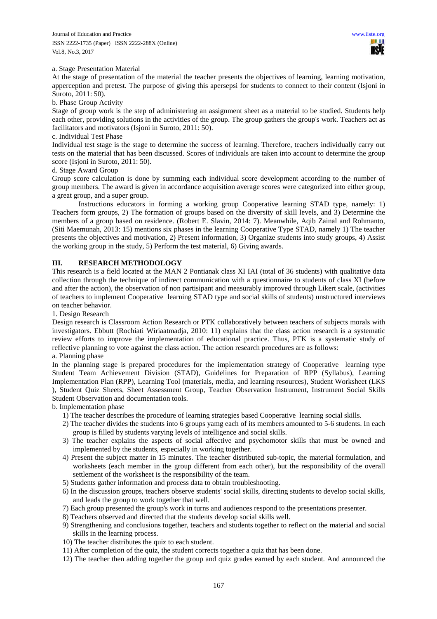## a. Stage Presentation Material

At the stage of presentation of the material the teacher presents the objectives of learning, learning motivation, apperception and pretest. The purpose of giving this apersepsi for students to connect to their content (Isjoni in Suroto, 2011: 50).

#### b. Phase Group Activity

Stage of group work is the step of administering an assignment sheet as a material to be studied. Students help each other, providing solutions in the activities of the group. The group gathers the group's work. Teachers act as facilitators and motivators (Isjoni in Suroto, 2011: 50).

## c. Individual Test Phase

Individual test stage is the stage to determine the success of learning. Therefore, teachers individually carry out tests on the material that has been discussed. Scores of individuals are taken into account to determine the group score (Isjoni in Suroto, 2011: 50).

### d. Stage Award Group

Group score calculation is done by summing each individual score development according to the number of group members. The award is given in accordance acquisition average scores were categorized into either group, a great group, and a super group.

Instructions educators in forming a working group Cooperative learning STAD type, namely: 1) Teachers form groups, 2) The formation of groups based on the diversity of skill levels, and 3) Determine the members of a group based on residence. (Robert E. Slavin, 2014: 7). Meanwhile, Aqib Zainal and Rohmanto, (Siti Maemunah, 2013: 15) mentions six phases in the learning Cooperative Type STAD, namely 1) The teacher presents the objectives and motivation, 2) Present information, 3) Organize students into study groups, 4) Assist the working group in the study, 5) Perform the test material, 6) Giving awards.

# **III. RESEARCH METHODOLOGY**

This research is a field located at the MAN 2 Pontianak class XI IAI (total of 36 students) with qualitative data collection through the technique of indirect communication with a questionnaire to students of class XI (before and after the action), the observation of non partisipant and measurably improved through Likert scale, (activities of teachers to implement Cooperative learning STAD type and social skills of students) unstructured interviews on teacher behavior.

1. Design Research

Design research is Classroom Action Research or PTK collaboratively between teachers of subjects morals with investigators. Ebbutt (Rochiati Wiriaatmadja, 2010: 11) explains that the class action research is a systematic review efforts to improve the implementation of educational practice. Thus, PTK is a systematic study of reflective planning to vote against the class action. The action research procedures are as follows:

# a. Planning phase

In the planning stage is prepared procedures for the implementation strategy of Cooperative learning type Student Team Achievement Division (STAD), Guidelines for Preparation of RPP (Syllabus), Learning Implementation Plan (RPP), Learning Tool (materials, media, and learning resources), Student Worksheet (LKS ), Student Quiz Sheets, Sheet Assessment Group, Teacher Observation Instrument, Instrument Social Skills Student Observation and documentation tools.

b. Implementation phase

- 1) The teacher describes the procedure of learning strategies based Cooperative learning social skills.
- 2) The teacher divides the students into 6 groups yamg each of its members amounted to 5-6 students. In each group is filled by students varying levels of intelligence and social skills.
- 3) The teacher explains the aspects of social affective and psychomotor skills that must be owned and implemented by the students, especially in working together.
- 4) Present the subject matter in 15 minutes. The teacher distributed sub-topic, the material formulation, and worksheets (each member in the group different from each other), but the responsibility of the overall settlement of the worksheet is the responsibility of the team.
- 5) Students gather information and process data to obtain troubleshooting.
- 6) In the discussion groups, teachers observe students' social skills, directing students to develop social skills, and leads the group to work together that well.
- 7) Each group presented the group's work in turns and audiences respond to the presentations presenter.
- 8) Teachers observed and directed that the students develop social skills well.
- 9) Strengthening and conclusions together, teachers and students together to reflect on the material and social skills in the learning process.
- 10) The teacher distributes the quiz to each student.
- 11) After completion of the quiz, the student corrects together a quiz that has been done.
- 12) The teacher then adding together the group and quiz grades earned by each student. And announced the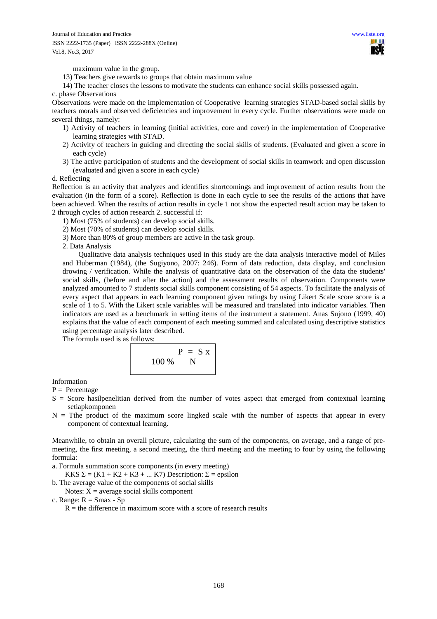maximum value in the group.

13) Teachers give rewards to groups that obtain maximum value

14) The teacher closes the lessons to motivate the students can enhance social skills possessed again.

#### c. phase Observations

Observations were made on the implementation of Cooperative learning strategies STAD-based social skills by teachers morals and observed deficiencies and improvement in every cycle. Further observations were made on several things, namely:

- 1) Activity of teachers in learning (initial activities, core and cover) in the implementation of Cooperative learning strategies with STAD.
- 2) Activity of teachers in guiding and directing the social skills of students. (Evaluated and given a score in each cycle)
- 3) The active participation of students and the development of social skills in teamwork and open discussion (evaluated and given a score in each cycle)

# d. Reflecting

Reflection is an activity that analyzes and identifies shortcomings and improvement of action results from the evaluation (in the form of a score). Reflection is done in each cycle to see the results of the actions that have been achieved. When the results of action results in cycle 1 not show the expected result action may be taken to 2 through cycles of action research 2. successful if:

- 1) Most (75% of students) can develop social skills.
- 2) Most (70% of students) can develop social skills.
- 3) More than 80% of group members are active in the task group.
- 2. Data Analysis

Qualitative data analysis techniques used in this study are the data analysis interactive model of Miles and Huberman (1984), (the Sugiyono, 2007: 246). Form of data reduction, data display, and conclusion drowing / verification. While the analysis of quantitative data on the observation of the data the students' social skills, (before and after the action) and the assessment results of observation. Components were analyzed amounted to 7 students social skills component consisting of 54 aspects. To facilitate the analysis of every aspect that appears in each learning component given ratings by using Likert Scale score score is a scale of 1 to 5. With the Likert scale variables will be measured and translated into indicator variables. Then indicators are used as a benchmark in setting items of the instrument a statement. Anas Sujono (1999, 40) explains that the value of each component of each meeting summed and calculated using descriptive statistics using percentage analysis later described.

The formula used is as follows:



Information

- $P =$  Percentage
- S = Score hasilpenelitian derived from the number of votes aspect that emerged from contextual learning setiapkomponen
- $N =$  Tthe product of the maximum score lingked scale with the number of aspects that appear in every component of contextual learning.

Meanwhile, to obtain an overall picture, calculating the sum of the components, on average, and a range of premeeting, the first meeting, a second meeting, the third meeting and the meeting to four by using the following formula:

- a. Formula summation score components (in every meeting)
- KKS  $\Sigma = (K1 + K2 + K3 + ... K7)$  Description:  $\Sigma =$  epsilon
- b. The average value of the components of social skills
	- Notes:  $X = average social skills component$
- c. Range:  $R = S$ max Sp
	- $R =$  the difference in maximum score with a score of research results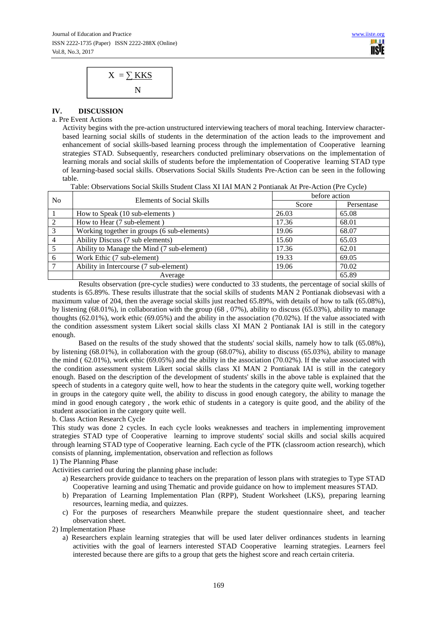

# **IV. DISCUSSION**

## a. Pre Event Actions

Activity begins with the pre-action unstructured interviewing teachers of moral teaching. Interview characterbased learning social skills of students in the determination of the action leads to the improvement and enhancement of social skills-based learning process through the implementation of Cooperative learning strategies STAD. Subsequently, researchers conducted preliminary observations on the implementation of learning morals and social skills of students before the implementation of Cooperative learning STAD type of learning-based social skills. Observations Social Skills Students Pre-Action can be seen in the following table.

Table: Observations Social Skills Student Class XI IAI MAN 2 Pontianak At Pre-Action (Pre Cycle)

| No             | Elements of Social Skills                   | before action |            |
|----------------|---------------------------------------------|---------------|------------|
|                |                                             | Score         | Persentase |
|                | How to Speak (10 sub-elements)              | 26.03         | 65.08      |
| 2              | How to Hear (7 sub-element)                 | 17.36         | 68.01      |
| 3              | Working together in groups (6 sub-elements) | 19.06         | 68.07      |
| $\overline{4}$ | Ability Discuss (7 sub elements)            | 15.60         | 65.03      |
| 5              | Ability to Manage the Mind (7 sub-element)  | 17.36         | 62.01      |
| 6              | Work Ethic (7 sub-element)                  | 19.33         | 69.05      |
|                | Ability in Intercourse (7 sub-element)      | 19.06         | 70.02      |
|                | Average                                     |               | 65.89      |

Results observation (pre-cycle studies) were conducted to 33 students, the percentage of social skills of students is 65.89%. These results illustrate that the social skills of students MAN 2 Pontianak diobsevasi with a maximum value of 204, then the average social skills just reached 65.89%, with details of how to talk (65.08%), by listening (68.01%), in collaboration with the group (68 , 07%), ability to discuss (65.03%), ability to manage thoughts (62.01%), work ethic (69.05%) and the ability in the association (70.02%). If the value associated with the condition assessment system Likert social skills class XI MAN 2 Pontianak IAI is still in the category enough.

Based on the results of the study showed that the students' social skills, namely how to talk (65.08%), by listening (68.01%), in collaboration with the group (68.07%), ability to discuss (65.03%), ability to manage the mind ( 62.01%), work ethic (69.05%) and the ability in the association (70.02%). If the value associated with the condition assessment system Likert social skills class XI MAN 2 Pontianak IAI is still in the category enough. Based on the description of the development of students' skills in the above table is explained that the speech of students in a category quite well, how to hear the students in the category quite well, working together in groups in the category quite well, the ability to discuss in good enough category, the ability to manage the mind in good enough category , the work ethic of students in a category is quite good, and the ability of the student association in the category quite well.

b. Class Action Research Cycle

This study was done 2 cycles. In each cycle looks weaknesses and teachers in implementing improvement strategies STAD type of Cooperative learning to improve students' social skills and social skills acquired through learning STAD type of Cooperative learning. Each cycle of the PTK (classroom action research), which consists of planning, implementation, observation and reflection as follows

# 1) The Planning Phase

Activities carried out during the planning phase include:

- a) Researchers provide guidance to teachers on the preparation of lesson plans with strategies to Type STAD Cooperative learning and using Thematic and provide guidance on how to implement measures STAD.
- b) Preparation of Learning Implementation Plan (RPP), Student Worksheet (LKS), preparing learning resources, learning media, and quizzes.
- c) For the purposes of researchers Meanwhile prepare the student questionnaire sheet, and teacher observation sheet.

2) Implementation Phase

a) Researchers explain learning strategies that will be used later deliver ordinances students in learning activities with the goal of learners interested STAD Cooperative learning strategies. Learners feel interested because there are gifts to a group that gets the highest score and reach certain criteria.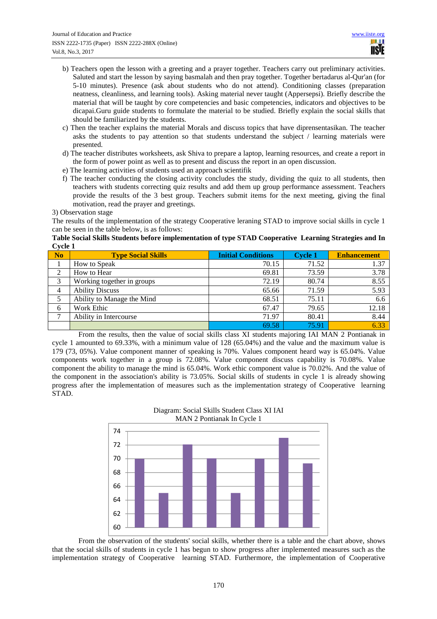- b) Teachers open the lesson with a greeting and a prayer together. Teachers carry out preliminary activities. Saluted and start the lesson by saying basmalah and then pray together. Together bertadarus al-Qur'an (for 5-10 minutes). Presence (ask about students who do not attend). Conditioning classes (preparation neatness, cleanliness, and learning tools). Asking material never taught (Appersepsi). Briefly describe the material that will be taught by core competencies and basic competencies, indicators and objectives to be dicapai.Guru guide students to formulate the material to be studied. Briefly explain the social skills that should be familiarized by the students.
- c) Then the teacher explains the material Morals and discuss topics that have diprensentasikan. The teacher asks the students to pay attention so that students understand the subject / learning materials were presented.
- d) The teacher distributes worksheets, ask Shiva to prepare a laptop, learning resources, and create a report in the form of power point as well as to present and discuss the report in an open discussion.
- e) The learning activities of students used an approach scientifik
- f) The teacher conducting the closing activity concludes the study, dividing the quiz to all students, then teachers with students correcting quiz results and add them up group performance assessment. Teachers provide the results of the 3 best group. Teachers submit items for the next meeting, giving the final motivation, read the prayer and greetings.

#### 3) Observation stage

The results of the implementation of the strategy Cooperative leraning STAD to improve social skills in cycle 1 can be seen in the table below, is as follows:

#### **Table Social Skills Students before implementation of type STAD Cooperative Learning Strategies and In Cycle 1**

| N <sub>o</sub> | <b>Type Social Skills</b>  | <b>Initial Conditions</b> | <b>Cycle 1</b> | <b>Enhancement</b> |
|----------------|----------------------------|---------------------------|----------------|--------------------|
|                | How to Speak               | 70.15                     | 71.52          | 1.37               |
| 2              | How to Hear                | 69.81                     | 73.59          | 3.78               |
| 3              | Working together in groups | 72.19                     | 80.74          | 8.55               |
| 4              | <b>Ability Discuss</b>     | 65.66                     | 71.59          | 5.93               |
|                | Ability to Manage the Mind | 68.51                     | 75.11          | 6.6                |
| 6              | Work Ethic                 | 67.47                     | 79.65          | 12.18              |
| ⇁              | Ability in Intercourse     | 71.97                     | 80.41          | 8.44               |
|                |                            | 69.58                     | 75.91          | 6.33               |

From the results, then the value of social skills class XI students majoring IAI MAN 2 Pontianak in cycle 1 amounted to 69.33%, with a minimum value of 128 (65.04%) and the value and the maximum value is 179 (73, 05%). Value component manner of speaking is 70%. Values component heard way is 65.04%. Value components work together in a group is 72.08%. Value component discuss capability is 70.08%. Value component the ability to manage the mind is 65.04%. Work ethic component value is 70.02%. And the value of the component in the association's ability is 73.05%. Social skills of students in cycle 1 is already showing progress after the implementation of measures such as the implementation strategy of Cooperative learning STAD.



From the observation of the students' social skills, whether there is a table and the chart above, shows that the social skills of students in cycle 1 has begun to show progress after implemented measures such as the implementation strategy of Cooperative learning STAD. Furthermore, the implementation of Cooperative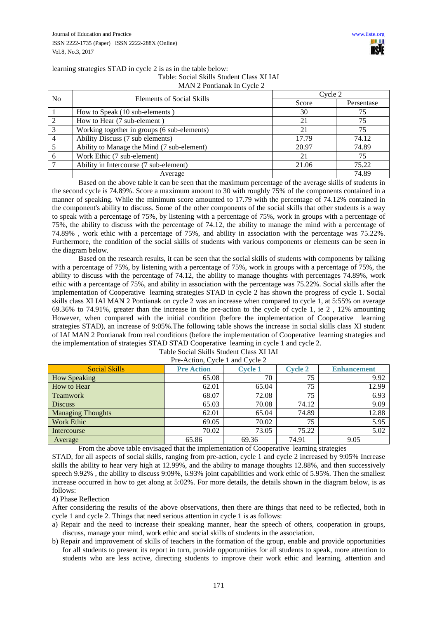#### learning strategies STAD in cycle 2 is as in the table below: Table: Social Skills Student Class XI IAI MAN 2 Pontianak In Cycle 2

| $\ldots$ |                                             |         |            |  |
|----------|---------------------------------------------|---------|------------|--|
| No.      | Elements of Social Skills                   | Cycle 2 |            |  |
|          |                                             | Score   | Persentase |  |
|          | How to Speak (10 sub-elements)              | 30      | 75         |  |
|          | How to Hear (7 sub-element)                 | 21      | 75         |  |
| 3        | Working together in groups (6 sub-elements) | 21      | 75         |  |
|          | Ability Discuss (7 sub elements)            | 17.79   | 74.12      |  |
|          | Ability to Manage the Mind (7 sub-element)  | 20.97   | 74.89      |  |
| 6        | Work Ethic (7 sub-element)                  | 21      | 75         |  |
|          | Ability in Intercourse (7 sub-element)      | 21.06   | 75.22      |  |
|          | Average                                     |         | 74.89      |  |

Based on the above table it can be seen that the maximum percentage of the average skills of students in the second cycle is 74.89%. Score a maximum amount to 30 with roughly 75% of the components contained in a manner of speaking. While the minimum score amounted to 17.79 with the percentage of 74.12% contained in the component's ability to discuss. Some of the other components of the social skills that other students is a way to speak with a percentage of 75%, by listening with a percentage of 75%, work in groups with a percentage of 75%, the ability to discuss with the percentage of 74.12, the ability to manage the mind with a percentage of 74.89% , work ethic with a percentage of 75%, and ability in association with the percentage was 75.22%. Furthermore, the condition of the social skills of students with various components or elements can be seen in the diagram below.

Based on the research results, it can be seen that the social skills of students with components by talking with a percentage of 75%, by listening with a percentage of 75%, work in groups with a percentage of 75%, the ability to discuss with the percentage of 74.12, the ability to manage thoughts with percentages 74.89%, work ethic with a percentage of 75%, and ability in association with the percentage was 75.22%. Social skills after the implementation of Cooperative learning strategies STAD in cycle 2 has shown the progress of cycle 1. Social skills class XI IAI MAN 2 Pontianak on cycle 2 was an increase when compared to cycle 1, at 5:55% on average 69.36% to 74.91%, greater than the increase in the pre-action to the cycle of cycle 1, ie 2 , 12% amounting However, when compared with the initial condition (before the implementation of Cooperative learning strategies STAD), an increase of 9:05%.The following table shows the increase in social skills class XI student of IAI MAN 2 Pontianak from real conditions (before the implementation of Cooperative learning strategies and the implementation of strategies STAD STAD Cooperative learning in cycle 1 and cycle 2.

| <b>Social Skills</b>     | <b>Pre Action</b> | <b>Cycle 1</b> | <b>Cycle 2</b> | <b>Enhancement</b> |  |  |
|--------------------------|-------------------|----------------|----------------|--------------------|--|--|
| <b>How Speaking</b>      | 65.08             | 70             | 75             | 9.92               |  |  |
| How to Hear              | 62.01             | 65.04          | 75             | 12.99              |  |  |
| <b>Teamwork</b>          | 68.07             | 72.08          | 75             | 6.93               |  |  |
| <b>Discuss</b>           | 65.03             | 70.08          | 74.12          | 9.09               |  |  |
| <b>Managing Thoughts</b> | 62.01             | 65.04          | 74.89          | 12.88              |  |  |
| <b>Work Ethic</b>        | 69.05             | 70.02          | 75             | 5.95               |  |  |
| Intercourse              | 70.02             | 73.05          | 75.22          | 5.02               |  |  |
| Average                  | 65.86             | 69.36          | 74.91          | 9.05               |  |  |

#### Table Social Skills Student Class XI IAI Pre-Action, Cycle 1 and Cycle 2

From the above table envisaged that the implementation of Cooperative learning strategies

STAD, for all aspects of social skills, ranging from pre-action, cycle 1 and cycle 2 increased by 9:05% Increase skills the ability to hear very high at 12.99%, and the ability to manage thoughts 12.88%, and then successively speech 9.92% , the ability to discuss 9:09%, 6.93% joint capabilities and work ethic of 5.95%. Then the smallest increase occurred in how to get along at 5:02%. For more details, the details shown in the diagram below, is as follows:

4) Phase Reflection

After considering the results of the above observations, then there are things that need to be reflected, both in cycle 1 and cycle 2. Things that need serious attention in cycle 1 is as follows:

- a) Repair and the need to increase their speaking manner, hear the speech of others, cooperation in groups, discuss, manage your mind, work ethic and social skills of students in the association.
- b) Repair and improvement of skills of teachers in the formation of the group, enable and provide opportunities for all students to present its report in turn, provide opportunities for all students to speak, more attention to students who are less active, directing students to improve their work ethic and learning, attention and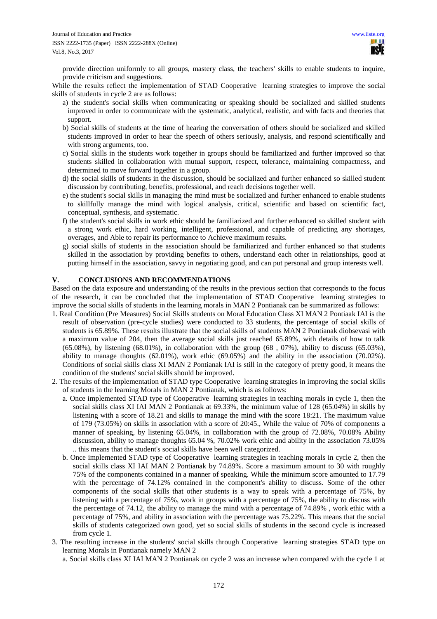provide direction uniformly to all groups, mastery class, the teachers' skills to enable students to inquire, provide criticism and suggestions.

While the results reflect the implementation of STAD Cooperative learning strategies to improve the social skills of students in cycle 2 are as follows:

- a) the student's social skills when communicating or speaking should be socialized and skilled students improved in order to communicate with the systematic, analytical, realistic, and with facts and theories that support.
- b) Social skills of students at the time of hearing the conversation of others should be socialized and skilled students improved in order to hear the speech of others seriously, analysis, and respond scientifically and with strong arguments, too.
- c) Social skills in the students work together in groups should be familiarized and further improved so that students skilled in collaboration with mutual support, respect, tolerance, maintaining compactness, and determined to move forward together in a group.
- d) the social skills of students in the discussion, should be socialized and further enhanced so skilled student discussion by contributing, benefits, professional, and reach decisions together well.
- e) the student's social skills in managing the mind must be socialized and further enhanced to enable students to skillfully manage the mind with logical analysis, critical, scientific and based on scientific fact, conceptual, synthesis, and systematic.
- f) the student's social skills in work ethic should be familiarized and further enhanced so skilled student with a strong work ethic, hard working, intelligent, professional, and capable of predicting any shortages, overages, and Able to repair its performance to Achieve maximum results.
- g) social skills of students in the association should be familiarized and further enhanced so that students skilled in the association by providing benefits to others, understand each other in relationships, good at putting himself in the association, savvy in negotiating good, and can put personal and group interests well.

# **V. CONCLUSIONS AND RECOMMENDATIONS**

Based on the data exposure and understanding of the results in the previous section that corresponds to the focus of the research, it can be concluded that the implementation of STAD Cooperative learning strategies to improve the social skills of students in the learning morals in MAN 2 Pontianak can be summarized as follows:

- 1. Real Condition (Pre Measures) Social Skills students on Moral Education Class XI MAN 2 Pontiaak IAI is the result of observation (pre-cycle studies) were conducted to 33 students, the percentage of social skills of students is 65.89%. These results illustrate that the social skills of students MAN 2 Pontianak diobsevasi with a maximum value of 204, then the average social skills just reached 65.89%, with details of how to talk  $(65.08\%)$ , by listening  $(68.01\%)$ , in collaboration with the group  $(68, 07\%)$ , ability to discuss  $(65.03\%)$ , ability to manage thoughts (62.01%), work ethic (69.05%) and the ability in the association (70.02%). Conditions of social skills class XI MAN 2 Pontianak IAI is still in the category of pretty good, it means the condition of the students' social skills should be improved.
- 2. The results of the implementation of STAD type Cooperative learning strategies in improving the social skills of students in the learning Morals in MAN 2 Pontianak, which is as follows:
	- a. Once implemented STAD type of Cooperative learning strategies in teaching morals in cycle 1, then the social skills class XI IAI MAN 2 Pontianak at 69.33%, the minimum value of 128 (65.04%) in skills by listening with a score of 18.21 and skills to manage the mind with the score 18:21. The maximum value of 179 (73.05%) on skills in association with a score of 20:45., While the value of 70% of components a manner of speaking, by listening 65.04%, in collaboration with the group of 72.08%, 70.08% Ability discussion, ability to manage thoughts 65.04 %, 70.02% work ethic and ability in the association 73.05% .. this means that the student's social skills have been well categorized.
	- b. Once implemented STAD type of Cooperative learning strategies in teaching morals in cycle 2, then the social skills class XI IAI MAN 2 Pontianak by 74.89%. Score a maximum amount to 30 with roughly 75% of the components contained in a manner of speaking. While the minimum score amounted to 17.79 with the percentage of 74.12% contained in the component's ability to discuss. Some of the other components of the social skills that other students is a way to speak with a percentage of 75%, by listening with a percentage of 75%, work in groups with a percentage of 75%, the ability to discuss with the percentage of 74.12, the ability to manage the mind with a percentage of 74.89% , work ethic with a percentage of 75%, and ability in association with the percentage was 75.22%. This means that the social skills of students categorized own good, yet so social skills of students in the second cycle is increased from cycle 1.
- 3. The resulting increase in the students' social skills through Cooperative learning strategies STAD type on learning Morals in Pontianak namely MAN 2
	- a. Social skills class XI IAI MAN 2 Pontianak on cycle 2 was an increase when compared with the cycle 1 at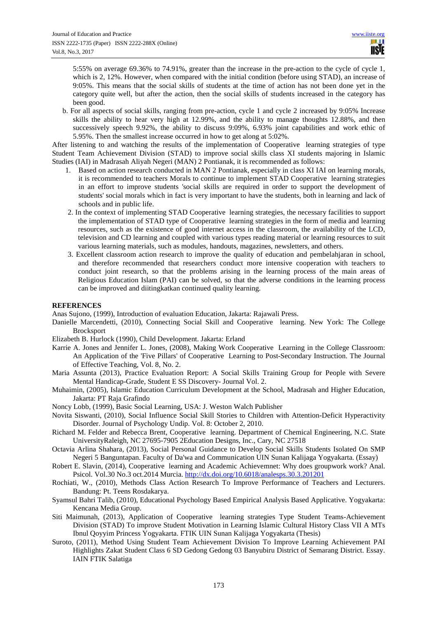5:55% on average 69.36% to 74.91%, greater than the increase in the pre-action to the cycle of cycle 1, which is 2, 12%. However, when compared with the initial condition (before using STAD), an increase of 9:05%. This means that the social skills of students at the time of action has not been done yet in the category quite well, but after the action, then the social skills of students increased in the category has been good.

b. For all aspects of social skills, ranging from pre-action, cycle 1 and cycle 2 increased by 9:05% Increase skills the ability to hear very high at 12.99%, and the ability to manage thoughts 12.88%, and then successively speech 9.92%, the ability to discuss 9:09%, 6.93% joint capabilities and work ethic of 5.95%. Then the smallest increase occurred in how to get along at 5:02%.

After listening to and watching the results of the implementation of Cooperative learning strategies of type Student Team Achievement Division (STAD) to improve social skills class XI students majoring in Islamic Studies (IAI) in Madrasah Aliyah Negeri (MAN) 2 Pontianak, it is recommended as follows:

- 1. Based on action research conducted in MAN 2 Pontianak, especially in class XI IAI on learning morals, it is recommended to teachers Morals to continue to implement STAD Cooperative learning strategies in an effort to improve students 'social skills are required in order to support the development of students' social morals which in fact is very important to have the students, both in learning and lack of schools and in public life.
- 2. In the context of implementing STAD Cooperative learning strategies, the necessary facilities to support the implementation of STAD type of Cooperative learning strategies in the form of media and learning resources, such as the existence of good internet access in the classroom, the availability of the LCD, television and CD learning and coupled with various types reading material or learning resources to suit various learning materials, such as modules, handouts, magazines, newsletters, and others.
- 3. Excellent classroom action research to improve the quality of education and pembelahjaran in school, and therefore recommended that researchers conduct more intensive cooperation with teachers to conduct joint research, so that the problems arising in the learning process of the main areas of Religious Education Islam (PAI) can be solved, so that the adverse conditions in the learning process can be improved and diitingkatkan continued quality learning.

# **REFERENCES**

Anas Sujono, (1999), Introduction of evaluation Education, Jakarta: Rajawali Press.

- Danielle Marcendetti, (2010), Connecting Social Skill and Cooperative learning. New York: The College Brocksport
- Elizabeth B. Hurlock (1990), Child Development. Jakarta: Erland
- Karrie A. Jones and Jennifer L. Jones, (2008), Making Work Cooperative Learning in the College Classroom: An Application of the 'Five Pillars' of Cooperative Learning to Post-Secondary Instruction. The Journal of Effective Teaching, Vol. 8, No. 2.
- Maria Assunta (2013), Practice Evaluation Report: A Social Skills Training Group for People with Severe Mental Handicap-Grade, Student E SS Discovery- Journal Vol. 2.
- Muhaimin, (2005), Islamic Education Curriculum Development at the School, Madrasah and Higher Education, Jakarta: PT Raja Grafindo
- Noncy Lobb, (1999), Basic Social Learning, USA: J. Weston Walch Publisher
- Novita Siswanti, (2010), Social Influence Social Skill Stories to Children with Attention-Deficit Hyperactivity Disorder. Journal of Psychology Undip. Vol. 8: October 2, 2010.
- Richard M. Felder and Rebecca Brent, Cooperative learning. Department of Chemical Engineering, N.C. State UniversityRaleigh, NC 27695-7905 2Education Designs, Inc., Cary, NC 27518
- Octavia Arlina Shahara, (2013), Social Personal Guidance to Develop Social Skills Students Isolated On SMP Negeri 5 Banguntapan. Faculty of Da'wa and Communication UIN Sunan Kalijaga Yogyakarta. (Essay)
- Robert E. Slavin, (2014), Cooperative learning and Academic Achievemnet: Why does groupwork work? Anal. Psicol. Vol.30 No.3 oct.2014 Murcia. http://dx.doi.org/10.6018/analesps.30.3.201201
- Rochiati, W., (2010), Methods Class Action Research To Improve Performance of Teachers and Lecturers. Bandung: Pt. Teens Rosdakarya.
- Syamsul Bahri Talib, (2010), Educational Psychology Based Empirical Analysis Based Applicative. Yogyakarta: Kencana Media Group.
- Siti Maimunah, (2013), Application of Cooperative learning strategies Type Student Teams-Achievement Division (STAD) To improve Student Motivation in Learning Islamic Cultural History Class VII A MTs Ibnul Qoyyim Princess Yogyakarta. FTIK UIN Sunan Kalijaga Yogyakarta (Thesis)
- Suroto, (2011), Method Using Student Team Achievement Division To Improve Learning Achievement PAI Highlights Zakat Student Class 6 SD Gedong Gedong 03 Banyubiru District of Semarang District. Essay. IAIN FTIK Salatiga